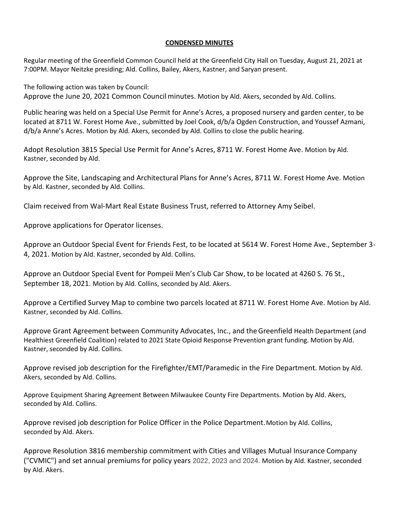## **CONDENSED MINUTES**

Regular meeting of the Greenfield Common Council held at the Greenfield City Hall on Tuesday, August 21, 2021 at 7:00PM. Mayor Neitzke presiding; Ald. Collins, Bailey, Akers, Kastner, and Saryan present.

The following action was taken by Council: Approve the June 20, 2021 Common Council minutes. Motion by Ald. Akers, seconded by Ald. Collins.

Public hearing was held on a Special Use Permit for Anne's Acres, a proposed nursery and garden center, to be located at 8711 W. Forest Home Ave., submitted by Joel Cook, d/b/a Ogden Construction, and Youssef Azmani, d/b/a Anne's Acres. Motion by Ald. Akers, seconded by Ald. Collins to close the public hearing.

Adopt Resolution 3815 Special Use Permit for Anne's Acres, 8711 W. Forest Home Ave. Motion by Ald. Kastner, seconded by Ald.

Approve the Site, Landscaping and Architectural Plans for Anne's Acres, 8711 W. Forest Home Ave. Motion by Ald. Kastner, seconded by Ald. Collins.

Claim received from Wal-Mart Real Estate Business Trust, referred to Attorney Amy Seibel.

Approve applications for Operator licenses.

Approve an Outdoor Special Event for Friends Fest, to be located at 5614 W. Forest Home Ave., September 3- 4, 2021. Motion by Ald. Kastner, seconded by Ald. Collins.

Approve an Outdoor Special Event for Pompeii Men's Club Car Show, to be located at 4260 S. 76 St., September 18, 2021. Motion by Ald. Collins, seconded by Ald. Akers.

Approve a Certified Survey Map to combine two parcels located at 8711 W. Forest Home Ave. Motion by Ald. Kastner, seconded by Ald. Collins.

Approve Grant Agreement between Community Advocates, Inc., and theGreenfield Health Department (and Healthiest Greenfield Coalition) related to 2021 State Opioid Response Prevention grant funding. Motion by Ald. Kastner, seconded by Ald. Collins.

Approve revised job description for the Firefighter/EMT/Paramedic in the Fire Department. Motion by Ald. Akers, seconded by Ald. Collins.

Approve Equipment Sharing Agreement Between Milwaukee County Fire Departments. Motion by Ald. Akers, seconded by Ald. Collins.

Approve revised job description for Police Officer in the Police Department. Motion by Ald. Collins, seconded by Ald. Akers.

Approve Resolution 3816 membership commitment with Cities and Villages Mutual Insurance Company ("CVMIC") and set annual premiums for policy years 2022, 2023 and 2024. Motion by Ald. Kastner, seconded by Ald. Akers.